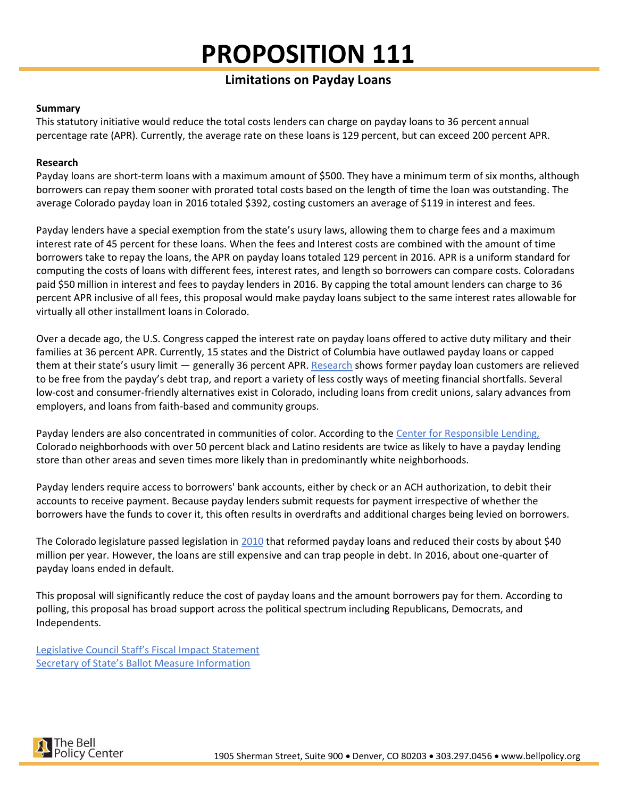# **PROPOSITION 111**

# **Limitations on Payday Loans**

## **Summary**

This statutory initiative would reduce the total costs lenders can charge on payday loans to 36 percent annual percentage rate (APR). Currently, the average rate on these loans is 129 percent, but can exceed 200 percent APR.

# **Research**

Payday loans are short-term loans with a maximum amount of \$500. They have a minimum term of six months, although borrowers can repay them sooner with prorated total costs based on the length of time the loan was outstanding. The average Colorado payday loan in 2016 totaled \$392, costing customers an average of \$119 in interest and fees.

Payday lenders have a special exemption from the state's usury laws, allowing them to charge fees and a maximum interest rate of 45 percent for these loans. When the fees and Interest costs are combined with the amount of time borrowers take to repay the loans, the APR on payday loans totaled 129 percent in 2016. APR is a uniform standard for computing the costs of loans with different fees, interest rates, and length so borrowers can compare costs. Coloradans paid \$50 million in interest and fees to payday lenders in 2016. By capping the total amount lenders can charge to 36 percent APR inclusive of all fees, this proposal would make payday loans subject to the same interest rates allowable for virtually all other installment loans in Colorado.

Over a decade ago, the U.S. Congress capped the interest rate on payday loans offered to active duty military and their families at 36 percent APR. Currently, 15 states and the District of Columbia have outlawed payday loans or capped them at their state's usury limit — generally 36 percent APR. [Research](https://www.responsiblelending.org/sites/default/files/nodes/files/research-publication/crl-shark-free-waters-aug2016.pdf) shows former payday loan customers are relieved to be free from the payday's debt trap, and report a variety of less costly ways of meeting financial shortfalls. Several low-cost and consumer-friendly alternatives exist in Colorado, including loans from credit unions, salary advances from employers, and loans from faith-based and community groups.

Payday lenders are also concentrated in communities of color. According to the [Center for Responsible Lending,](https://www.responsiblelending.org/research-publication/mile-high-money-payday-stores-target-colorado-communities-color) Colorado neighborhoods with over 50 percent black and Latino residents are twice as likely to have a payday lending store than other areas and seven times more likely than in predominantly white neighborhoods.

Payday lenders require access to borrowers' bank accounts, either by check or an ACH authorization, to debit their accounts to receive payment. Because payday lenders submit requests for payment irrespective of whether the borrowers have the funds to cover it, this often results in overdrafts and additional charges being levied on borrowers.

The Colorado legislature passed legislation in [2010](http://www.bellpolicy.org/2018/01/25/predatory-payday-lending-in-colorado/) that reformed payday loans and reduced their costs by about \$40 million per year. However, the loans are still expensive and can trap people in debt. In 2016, about one-quarter of payday loans ended in default.

This proposal will significantly reduce the cost of payday loans and the amount borrowers pay for them. According to polling, this proposal has broad support across the political spectrum including Republicans, Democrats, and Independents.

[Legislative Council Staff's Fiscal Impact Statement](https://leg.colorado.gov/content/fiscal-impact-statements) [Secretary of State's Ballot Measure Information](https://www.sos.state.co.us/pubs/elections/Initiatives/ballot/contacts/2018.html)